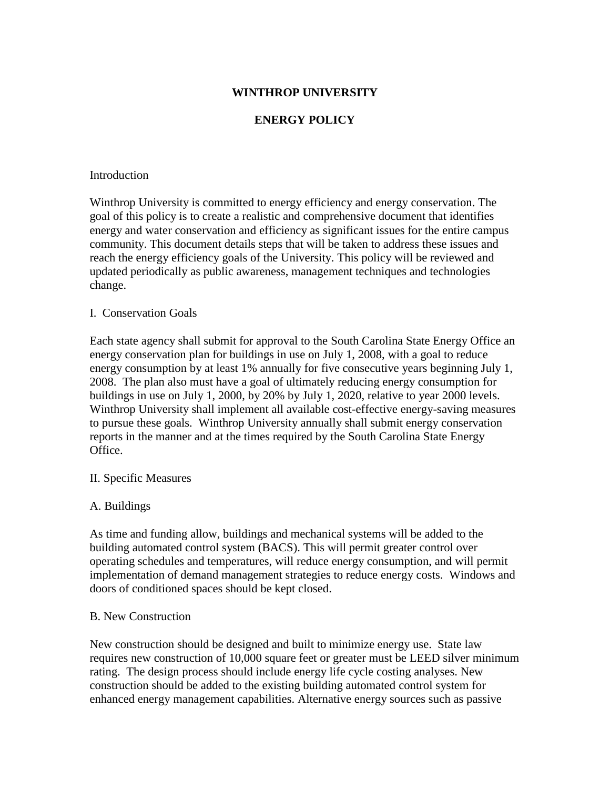### **WINTHROP UNIVERSITY**

### **ENERGY POLICY**

#### Introduction

Winthrop University is committed to energy efficiency and energy conservation. The goal of this policy is to create a realistic and comprehensive document that identifies energy and water conservation and efficiency as significant issues for the entire campus community. This document details steps that will be taken to address these issues and reach the energy efficiency goals of the University. This policy will be reviewed and updated periodically as public awareness, management techniques and technologies change.

#### I. Conservation Goals

Each state agency shall submit for approval to the South Carolina State Energy Office an energy conservation plan for buildings in use on July 1, 2008, with a goal to reduce energy consumption by at least 1% annually for five consecutive years beginning July 1, 2008. The plan also must have a goal of ultimately reducing energy consumption for buildings in use on July 1, 2000, by 20% by July 1, 2020, relative to year 2000 levels. Winthrop University shall implement all available cost-effective energy-saving measures to pursue these goals. Winthrop University annually shall submit energy conservation reports in the manner and at the times required by the South Carolina State Energy Office.

#### II. Specific Measures

#### A. Buildings

As time and funding allow, buildings and mechanical systems will be added to the building automated control system (BACS). This will permit greater control over operating schedules and temperatures, will reduce energy consumption, and will permit implementation of demand management strategies to reduce energy costs. Windows and doors of conditioned spaces should be kept closed.

#### B. New Construction

New construction should be designed and built to minimize energy use. State law requires new construction of 10,000 square feet or greater must be LEED silver minimum rating. The design process should include energy life cycle costing analyses. New construction should be added to the existing building automated control system for enhanced energy management capabilities. Alternative energy sources such as passive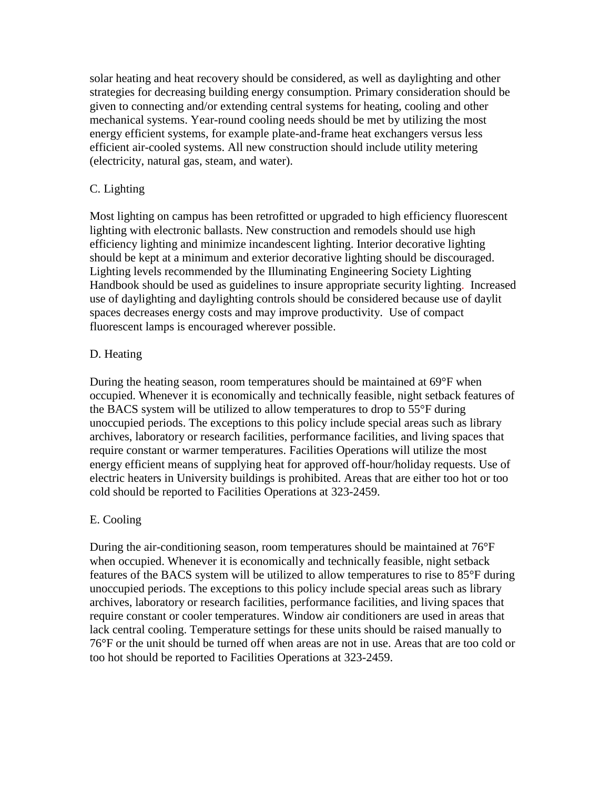solar heating and heat recovery should be considered, as well as daylighting and other strategies for decreasing building energy consumption. Primary consideration should be given to connecting and/or extending central systems for heating, cooling and other mechanical systems. Year-round cooling needs should be met by utilizing the most energy efficient systems, for example plate-and-frame heat exchangers versus less efficient air-cooled systems. All new construction should include utility metering (electricity, natural gas, steam, and water).

# C. Lighting

Most lighting on campus has been retrofitted or upgraded to high efficiency fluorescent lighting with electronic ballasts. New construction and remodels should use high efficiency lighting and minimize incandescent lighting. Interior decorative lighting should be kept at a minimum and exterior decorative lighting should be discouraged. Lighting levels recommended by the Illuminating Engineering Society Lighting Handbook should be used as guidelines to insure appropriate security lighting. Increased use of daylighting and daylighting controls should be considered because use of daylit spaces decreases energy costs and may improve productivity. Use of compact fluorescent lamps is encouraged wherever possible.

# D. Heating

During the heating season, room temperatures should be maintained at 69°F when occupied. Whenever it is economically and technically feasible, night setback features of the BACS system will be utilized to allow temperatures to drop to 55°F during unoccupied periods. The exceptions to this policy include special areas such as library archives, laboratory or research facilities, performance facilities, and living spaces that require constant or warmer temperatures. Facilities Operations will utilize the most energy efficient means of supplying heat for approved off-hour/holiday requests. Use of electric heaters in University buildings is prohibited. Areas that are either too hot or too cold should be reported to Facilities Operations at 323-2459.

# E. Cooling

During the air-conditioning season, room temperatures should be maintained at 76°F when occupied. Whenever it is economically and technically feasible, night setback features of the BACS system will be utilized to allow temperatures to rise to 85°F during unoccupied periods. The exceptions to this policy include special areas such as library archives, laboratory or research facilities, performance facilities, and living spaces that require constant or cooler temperatures. Window air conditioners are used in areas that lack central cooling. Temperature settings for these units should be raised manually to 76°F or the unit should be turned off when areas are not in use. Areas that are too cold or too hot should be reported to Facilities Operations at 323-2459.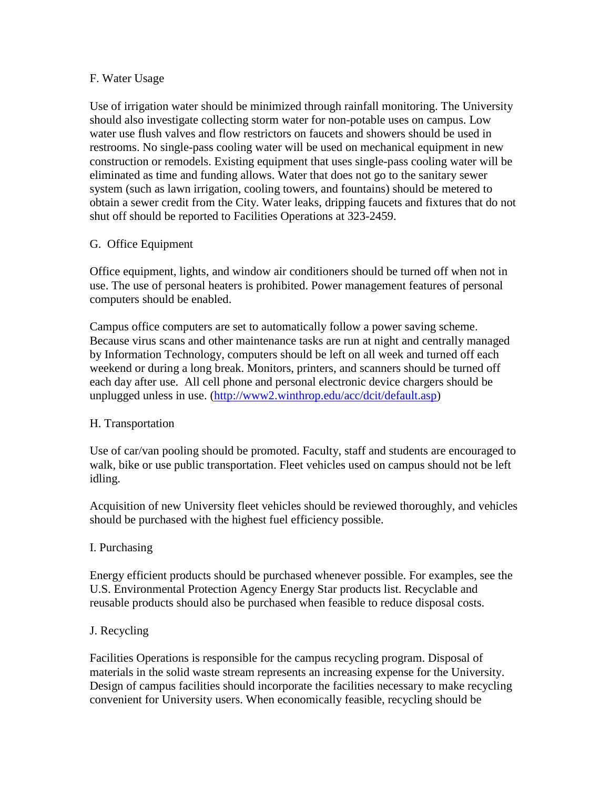#### F. Water Usage

Use of irrigation water should be minimized through rainfall monitoring. The University should also investigate collecting storm water for non-potable uses on campus. Low water use flush valves and flow restrictors on faucets and showers should be used in restrooms. No single-pass cooling water will be used on mechanical equipment in new construction or remodels. Existing equipment that uses single-pass cooling water will be eliminated as time and funding allows. Water that does not go to the sanitary sewer system (such as lawn irrigation, cooling towers, and fountains) should be metered to obtain a sewer credit from the City. Water leaks, dripping faucets and fixtures that do not shut off should be reported to Facilities Operations at 323-2459.

# G. Office Equipment

Office equipment, lights, and window air conditioners should be turned off when not in use. The use of personal heaters is prohibited. Power management features of personal computers should be enabled.

Campus office computers are set to automatically follow a power saving scheme. Because virus scans and other maintenance tasks are run at night and centrally managed by Information Technology, computers should be left on all week and turned off each weekend or during a long break. Monitors, printers, and scanners should be turned off each day after use. All cell phone and personal electronic device chargers should be unplugged unless in use. [\(http://www2.winthrop.edu/acc/dcit/default.asp\)](http://www2.winthrop.edu/acc/dcit/default.asp)

# H. Transportation

Use of car/van pooling should be promoted. Faculty, staff and students are encouraged to walk, bike or use public transportation. Fleet vehicles used on campus should not be left idling.

Acquisition of new University fleet vehicles should be reviewed thoroughly, and vehicles should be purchased with the highest fuel efficiency possible.

# I. Purchasing

Energy efficient products should be purchased whenever possible. For examples, see the U.S. Environmental Protection Agency Energy Star products list. Recyclable and reusable products should also be purchased when feasible to reduce disposal costs.

#### J. Recycling

Facilities Operations is responsible for the campus recycling program. Disposal of materials in the solid waste stream represents an increasing expense for the University. Design of campus facilities should incorporate the facilities necessary to make recycling convenient for University users. When economically feasible, recycling should be